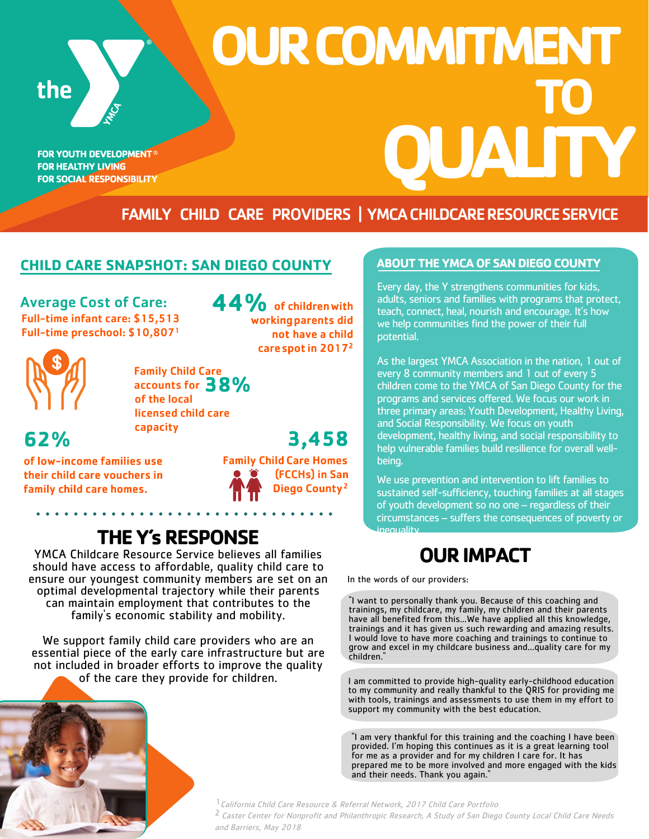the

**FOR YOUTH DEVELOPMENT® FOR HEALTHY LIVING FOR SOCIAL RESPONSIBILITY** 

# **QUALITY OUR COMMITMENT TO**

## FAMILY CHILD CARE PROVIDERS | YMCA CHILDCARE RESOURCE SERVICE

#### **CHILD CARE SNAPSHOT: SAN DIEGO COUNTY**

Average Cost of Care: 44% of children with Full-time infant care: \$15,513 Full-time preschool: \$10,807<sup>1</sup>

Family Child Care accounts for **38%**

of the local licensed child care capacity

**62%** 

of low-income families use their child care vouchers in family child care homes.



working parents did not have a child care spot in 2017<sup>2</sup>

# inequality. **THE Y's RESPONSE**

YMCA Childcare Resource Service believes all families should have access to affordable, quality child care to ensure our youngest community members are set on an optimal developmental trajectory while their parents can maintain employment that contributes to the family's economic stability and mobility.

We support family child care providers who are an essential piece of the early care infrastructure but are not included in broader efforts to improve the quality of the care they provide for children.



#### **ABOUT THE YMCA OF SAN DIEGO COUNTY**

Every day, the Y strengthens communities for kids, adults, seniors and families with programs that protect, teach, connect, heal, nourish and encourage. It's how we help communities find the power of their full potential.

As the largest YMCA Association in the nation, 1 out of every 8 community members and 1 out of every 5 children come to the YMCA of San Diego County for the programs and services offered. We focus our work in three primary areas: Youth Development, Healthy Living, and Social Responsibility. We focus on youth development, healthy living, and social responsibility to help vulnerable families build resilience for overall wellbeing.

We use prevention and intervention to lift families to sustained self-sufficiency, touching families at all stages of youth development so no one – regardless of their circumstances – suffers the consequences of poverty or

# **OUR IMPACT**

In the words of our providers:

"I want to personally thank you. Because of this coaching and trainings, my childcare, my family, my children and their parents have all benefited from this...We have applied all this knowledge, trainings and it has given us such rewarding and amazing results. I would love to have more coaching and trainings to continue to grow and excel in my childcare business and...quality care for my children."

I am committed to provide high-quality early-childhood education to my community and really thankful to the QRIS for providing me with tools, trainings and assessments to use them in my effort to support my community with the best education.

"I am very thankful for this training and the coaching I have been provided. I'm hoping this continues as it is a great learning tool for me as a provider and for my children I care for. It has prepared me to be more involved and more engaged with the kids and their needs. Thank you again."

<sup>1</sup> California Child Care Resource & Referral Network, 2017 Child Care Portfolio 2 Caster Center for Nonprofit and Philanthropic Research, A Study of San Diego County Local Child Care Needs and Barriers, May 2018